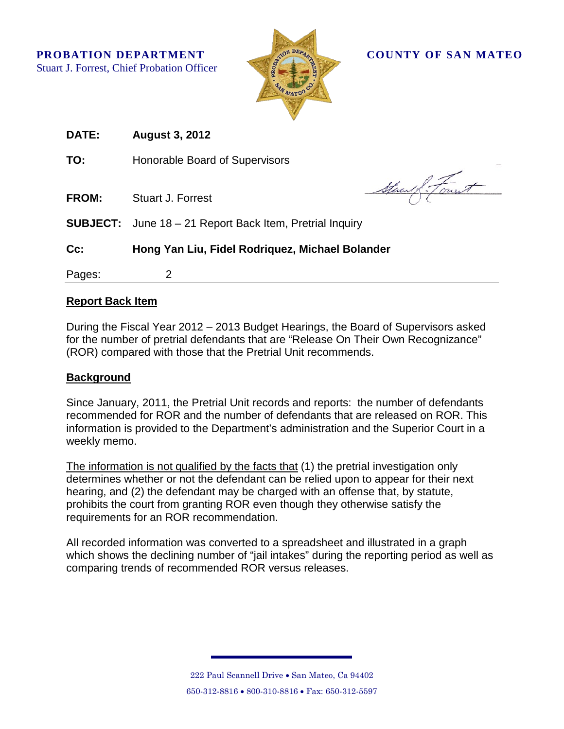**PROBATION DEPARTMENT COUNTY OF SAN MATEO** Stuart J. Forrest, Chief Probation Officer



| <b>DATE:</b> | <b>August 3, 2012</b>                                           |
|--------------|-----------------------------------------------------------------|
| TO:          | Honorable Board of Supervisors                                  |
| <b>FROM:</b> | Stuart :<br><b>Stuart J. Forrest</b>                            |
|              | <b>SUBJECT:</b> June 18 – 21 Report Back Item, Pretrial Inquiry |
| Cc:          | Hong Yan Liu, Fidel Rodriquez, Michael Bolander                 |
| Pages:       | 2                                                               |

## **Report Back Item**

During the Fiscal Year 2012 – 2013 Budget Hearings, the Board of Supervisors asked for the number of pretrial defendants that are "Release On Their Own Recognizance" (ROR) compared with those that the Pretrial Unit recommends.

## **Background**

Since January, 2011, the Pretrial Unit records and reports: the number of defendants recommended for ROR and the number of defendants that are released on ROR. This information is provided to the Department's administration and the Superior Court in a weekly memo.

The information is not qualified by the facts that (1) the pretrial investigation only determines whether or not the defendant can be relied upon to appear for their next hearing, and (2) the defendant may be charged with an offense that, by statute, prohibits the court from granting ROR even though they otherwise satisfy the requirements for an ROR recommendation.

All recorded information was converted to a spreadsheet and illustrated in a graph which shows the declining number of "jail intakes" during the reporting period as well as comparing trends of recommended ROR versus releases.

> 222 Paul Scannell Drive • San Mateo, Ca 94402 650-312-8816 • 800-310-8816 • Fax: 650-312-5597